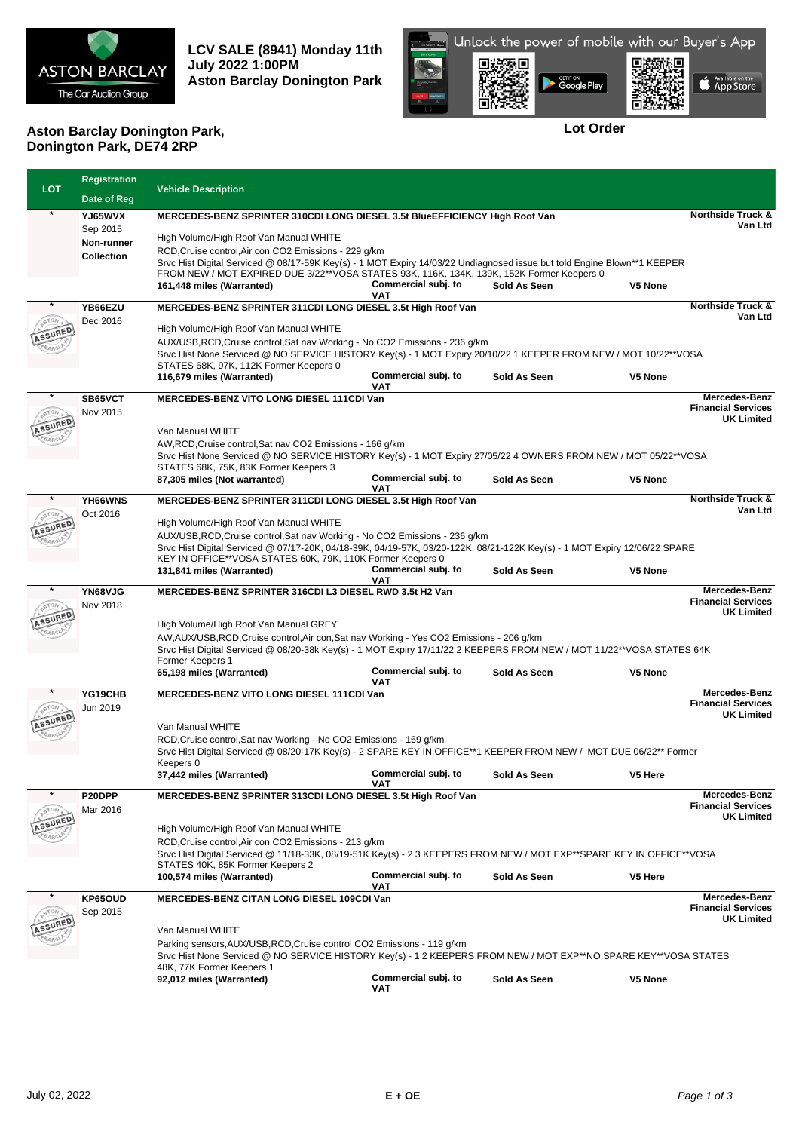

**LCV SALE (8941) Monday 11th July 2022 1:00PM Aston Barclay Donington Park**



**Lot Order**

## **Aston Barclay Donington Park, Donington Park, DE74 2RP**

|            | <b>Registration</b>    |                                                                                                                                                                              |                            |              |         |                                            |
|------------|------------------------|------------------------------------------------------------------------------------------------------------------------------------------------------------------------------|----------------------------|--------------|---------|--------------------------------------------|
| <b>LOT</b> | Date of Reg            | <b>Vehicle Description</b>                                                                                                                                                   |                            |              |         |                                            |
|            | YJ65WVX                |                                                                                                                                                                              |                            |              |         |                                            |
|            |                        | MERCEDES-BENZ SPRINTER 310CDI LONG DIESEL 3.5t BlueEFFICIENCY High Roof Van                                                                                                  |                            |              |         |                                            |
|            | Sep 2015<br>Non-runner | High Volume/High Roof Van Manual WHITE                                                                                                                                       |                            |              |         |                                            |
|            |                        | RCD, Cruise control, Air con CO2 Emissions - 229 g/km                                                                                                                        |                            |              |         |                                            |
|            | <b>Collection</b>      | Srvc Hist Digital Serviced @ 08/17-59K Key(s) - 1 MOT Expiry 14/03/22 Undiagnosed issue but told Engine Blown**1 KEEPER                                                      |                            |              |         |                                            |
|            |                        | FROM NEW / MOT EXPIRED DUE 3/22**VOSA STATES 93K, 116K, 134K, 139K, 152K Former Keepers 0                                                                                    |                            |              |         |                                            |
|            |                        | 161,448 miles (Warranted)                                                                                                                                                    | Commercial subj. to        | Sold As Seen | V5 None |                                            |
|            | YB66EZU                | MERCEDES-BENZ SPRINTER 311CDI LONG DIESEL 3.5t High Roof Van                                                                                                                 | <b>VAT</b>                 |              |         | <b>Northside Truck &amp;</b>               |
|            | Dec 2016               |                                                                                                                                                                              |                            |              |         | Van Ltd                                    |
| SSURED     |                        | High Volume/High Roof Van Manual WHITE                                                                                                                                       |                            |              |         |                                            |
|            |                        | AUX/USB, RCD, Cruise control, Sat nav Working - No CO2 Emissions - 236 q/km                                                                                                  |                            |              |         |                                            |
|            |                        | Srvc Hist None Serviced @ NO SERVICE HISTORY Key(s) - 1 MOT Expiry 20/10/22 1 KEEPER FROM NEW / MOT 10/22**VOSA                                                              |                            |              |         |                                            |
|            |                        | STATES 68K, 97K, 112K Former Keepers 0                                                                                                                                       |                            |              |         |                                            |
|            |                        | 116,679 miles (Warranted)                                                                                                                                                    | Commercial subj. to<br>VAT | Sold As Seen | V5 None |                                            |
|            | SB65VCT                | <b>MERCEDES-BENZ VITO LONG DIESEL 111CDI Van</b>                                                                                                                             |                            |              |         | Mercedes-Benz                              |
|            | Nov 2015               |                                                                                                                                                                              |                            |              |         | <b>Financial Services</b>                  |
|            |                        |                                                                                                                                                                              |                            |              |         | <b>UK Limited</b>                          |
|            |                        | Van Manual WHITE                                                                                                                                                             |                            |              |         |                                            |
|            |                        | AW, RCD, Cruise control, Sat nav CO2 Emissions - 166 g/km<br>Srvc Hist None Serviced @ NO SERVICE HISTORY Key(s) - 1 MOT Expiry 27/05/22 4 OWNERS FROM NEW / MOT 05/22**VOSA |                            |              |         |                                            |
|            |                        | STATES 68K, 75K, 83K Former Keepers 3                                                                                                                                        |                            |              |         |                                            |
|            |                        | 87,305 miles (Not warranted)                                                                                                                                                 | Commercial subj. to        | Sold As Seen | V5 None |                                            |
|            |                        |                                                                                                                                                                              | <b>VAT</b>                 |              |         |                                            |
| $\ast$     | YH66WNS                | MERCEDES-BENZ SPRINTER 311CDI LONG DIESEL 3.5t High Roof Van                                                                                                                 |                            |              |         | <b>Northside Truck &amp;</b><br>Van Ltd    |
|            | Oct 2016               | High Volume/High Roof Van Manual WHITE                                                                                                                                       |                            |              |         |                                            |
|            |                        | AUX/USB, RCD, Cruise control, Sat nav Working - No CO2 Emissions - 236 g/km                                                                                                  |                            |              |         |                                            |
|            |                        | Srvc Hist Digital Serviced @ 07/17-20K, 04/18-39K, 04/19-57K, 03/20-122K, 08/21-122K Key(s) - 1 MOT Expiry 12/06/22 SPARE                                                    |                            |              |         |                                            |
|            |                        | KEY IN OFFICE**VOSA STATES 60K, 79K, 110K Former Keepers 0                                                                                                                   |                            |              |         |                                            |
|            |                        | 131,841 miles (Warranted)                                                                                                                                                    | Commercial subj. to        | Sold As Seen | V5 None |                                            |
|            |                        |                                                                                                                                                                              | VAT                        |              |         | Mercedes-Benz                              |
|            | YN68VJG                | MERCEDES-BENZ SPRINTER 316CDI L3 DIESEL RWD 3.5t H2 Van                                                                                                                      |                            |              |         |                                            |
|            |                        |                                                                                                                                                                              |                            |              |         | <b>Financial Services</b>                  |
|            | Nov 2018               |                                                                                                                                                                              |                            |              |         | <b>UK Limited</b>                          |
|            |                        | High Volume/High Roof Van Manual GREY                                                                                                                                        |                            |              |         |                                            |
|            |                        | AW, AUX/USB, RCD, Cruise control, Air con, Sat nav Working - Yes CO2 Emissions - 206 g/km                                                                                    |                            |              |         |                                            |
|            |                        | Srvc Hist Digital Serviced @ 08/20-38k Key(s) - 1 MOT Expiry 17/11/22 2 KEEPERS FROM NEW / MOT 11/22**VOSA STATES 64K                                                        |                            |              |         |                                            |
|            |                        | Former Keepers 1                                                                                                                                                             |                            |              |         |                                            |
|            |                        | 65,198 miles (Warranted)                                                                                                                                                     | Commercial subj. to<br>VAT | Sold As Seen | V5 None |                                            |
|            | YG19CHB                | <b>MERCEDES-BENZ VITO LONG DIESEL 111CDI Van</b>                                                                                                                             |                            |              |         | <b>Mercedes-Benz</b>                       |
|            | Jun 2019               |                                                                                                                                                                              |                            |              |         | <b>Financial Services</b>                  |
|            |                        |                                                                                                                                                                              |                            |              |         | <b>UK Limited</b>                          |
|            |                        | Van Manual WHITE                                                                                                                                                             |                            |              |         |                                            |
|            |                        | RCD, Cruise control, Sat nav Working - No CO2 Emissions - 169 g/km                                                                                                           |                            |              |         |                                            |
|            |                        | Srvc Hist Digital Serviced @ 08/20-17K Key(s) - 2 SPARE KEY IN OFFICE**1 KEEPER FROM NEW / MOT DUE 06/22** Former<br>Keepers 0                                               |                            |              |         |                                            |
|            |                        | 37,442 miles (Warranted)                                                                                                                                                     | Commercial subj. to        | Sold As Seen | V5 Here |                                            |
|            |                        |                                                                                                                                                                              | VAT                        |              |         |                                            |
|            | P20DPP                 | MERCEDES-BENZ SPRINTER 313CDI LONG DIESEL 3.5t High Roof Van                                                                                                                 |                            |              |         | Mercedes-Benz<br><b>Financial Services</b> |
|            | Mar 2016               |                                                                                                                                                                              |                            |              |         | <b>UK Limited</b>                          |
|            |                        | High Volume/High Roof Van Manual WHITE                                                                                                                                       |                            |              |         |                                            |
|            |                        | RCD, Cruise control, Air con CO2 Emissions - 213 g/km                                                                                                                        |                            |              |         |                                            |
|            |                        | Srvc Hist Digital Serviced @ 11/18-33K, 08/19-51K Key(s) - 2 3 KEEPERS FROM NEW / MOT EXP**SPARE KEY IN OFFICE**VOSA                                                         |                            |              |         |                                            |
|            |                        | STATES 40K, 85K Former Keepers 2                                                                                                                                             |                            |              |         |                                            |
|            |                        | 100,574 miles (Warranted)                                                                                                                                                    | Commercial subj. to<br>VAT | Sold As Seen | V5 Here |                                            |
|            | KP65OUD                | MERCEDES-BENZ CITAN LONG DIESEL 109CDI Van                                                                                                                                   |                            |              |         | Mercedes-Benz                              |
|            | Sep 2015               |                                                                                                                                                                              |                            |              |         | <b>Financial Services</b>                  |
|            |                        | Van Manual WHITE                                                                                                                                                             |                            |              |         | <b>UK Limited</b>                          |
|            |                        |                                                                                                                                                                              |                            |              |         |                                            |
|            |                        | Parking sensors, AUX/USB, RCD, Cruise control CO2 Emissions - 119 g/km                                                                                                       |                            |              |         |                                            |
|            |                        | Srvc Hist None Serviced @ NO SERVICE HISTORY Key(s) - 1 2 KEEPERS FROM NEW / MOT EXP**NO SPARE KEY**VOSA STATES<br>48K, 77K Former Keepers 1                                 |                            |              |         |                                            |
|            |                        | 92,012 miles (Warranted)                                                                                                                                                     | Commercial subj. to<br>VAT | Sold As Seen | V5 None |                                            |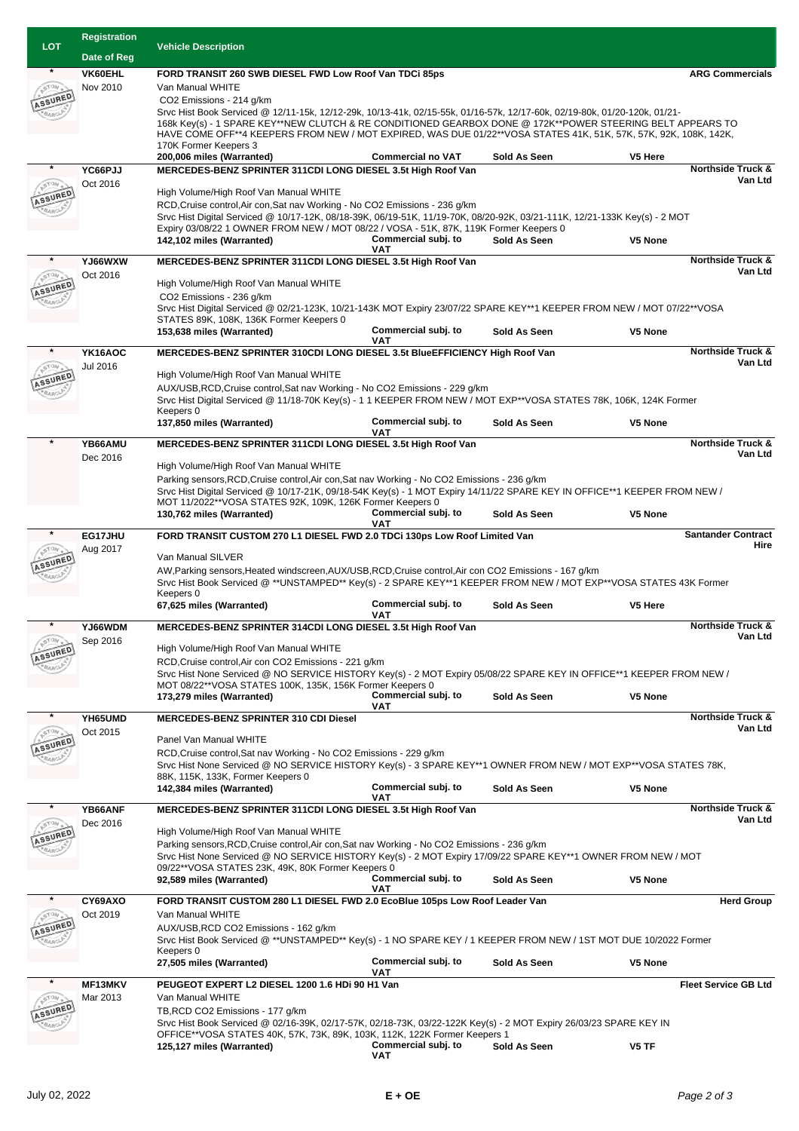| <b>LOT</b> | <b>Registration</b> | <b>Vehicle Description</b>                                                                                                                                                                                                              |                                   |              |         |                                         |  |
|------------|---------------------|-----------------------------------------------------------------------------------------------------------------------------------------------------------------------------------------------------------------------------------------|-----------------------------------|--------------|---------|-----------------------------------------|--|
|            | Date of Reg         |                                                                                                                                                                                                                                         |                                   |              |         |                                         |  |
|            | VK60EHL             | FORD TRANSIT 260 SWB DIESEL FWD Low Roof Van TDCi 85ps                                                                                                                                                                                  |                                   |              |         | <b>ARG Commercials</b>                  |  |
|            | Nov 2010            | Van Manual WHITE                                                                                                                                                                                                                        |                                   |              |         |                                         |  |
| SSURED     |                     | CO2 Emissions - 214 g/km                                                                                                                                                                                                                |                                   |              |         |                                         |  |
|            |                     |                                                                                                                                                                                                                                         |                                   |              |         |                                         |  |
|            |                     | Srvc Hist Book Serviced @ 12/11-15k, 12/12-29k, 10/13-41k, 02/15-55k, 01/16-57k, 12/17-60k, 02/19-80k, 01/20-120k, 01/21-<br>168k Key(s) - 1 SPARE KEY**NEW CLUTCH & RE CONDITIONED GEARBOX DONE @ 172K**POWER STEERING BELT APPEARS TO |                                   |              |         |                                         |  |
|            |                     | HAVE COME OFF**4 KEEPERS FROM NEW / MOT EXPIRED, WAS DUE 01/22**VOSA STATES 41K, 51K, 57K, 57K, 92K, 108K, 142K,                                                                                                                        |                                   |              |         |                                         |  |
|            |                     | 170K Former Keepers 3<br>200,006 miles (Warranted)                                                                                                                                                                                      | <b>Commercial no VAT</b>          | Sold As Seen | V5 Here |                                         |  |
|            | YC66PJJ             | MERCEDES-BENZ SPRINTER 311CDI LONG DIESEL 3.5t High Roof Van                                                                                                                                                                            |                                   |              |         | <b>Northside Truck &amp;</b>            |  |
|            | Oct 2016            |                                                                                                                                                                                                                                         |                                   |              |         | Van Ltd                                 |  |
| SSUREL     |                     | High Volume/High Roof Van Manual WHITE                                                                                                                                                                                                  |                                   |              |         |                                         |  |
|            |                     | RCD, Cruise control, Air con, Sat nav Working - No CO2 Emissions - 236 g/km                                                                                                                                                             |                                   |              |         |                                         |  |
|            |                     | Srvc Hist Digital Serviced @ 10/17-12K, 08/18-39K, 06/19-51K, 11/19-70K, 08/20-92K, 03/21-111K, 12/21-133K Key(s) - 2 MOT                                                                                                               |                                   |              |         |                                         |  |
|            |                     | Expiry 03/08/22 1 OWNER FROM NEW / MOT 08/22 / VOSA - 51K, 87K, 119K Former Keepers 0<br>142,102 miles (Warranted)                                                                                                                      | Commercial subj. to               | Sold As Seen | V5 None |                                         |  |
|            |                     |                                                                                                                                                                                                                                         | <b>VAT</b>                        |              |         |                                         |  |
|            | YJ66WXW             | MERCEDES-BENZ SPRINTER 311CDI LONG DIESEL 3.5t High Roof Van                                                                                                                                                                            |                                   |              |         | <b>Northside Truck &amp;</b>            |  |
|            | Oct 2016            | High Volume/High Roof Van Manual WHITE                                                                                                                                                                                                  |                                   |              |         | Van Ltd                                 |  |
|            |                     | CO2 Emissions - 236 g/km                                                                                                                                                                                                                |                                   |              |         |                                         |  |
|            |                     | Srvc Hist Digital Serviced @ 02/21-123K, 10/21-143K MOT Expiry 23/07/22 SPARE KEY**1 KEEPER FROM NEW / MOT 07/22**VOSA                                                                                                                  |                                   |              |         |                                         |  |
|            |                     | STATES 89K, 108K, 136K Former Keepers 0                                                                                                                                                                                                 |                                   |              |         |                                         |  |
|            |                     | 153,638 miles (Warranted)                                                                                                                                                                                                               | Commercial subj. to               | Sold As Seen | V5 None |                                         |  |
|            | YK16AOC             | MERCEDES-BENZ SPRINTER 310CDI LONG DIESEL 3.5t BlueEFFICIENCY High Roof Van                                                                                                                                                             | VAT                               |              |         | <b>Northside Truck &amp;</b>            |  |
|            | Jul 2016            |                                                                                                                                                                                                                                         |                                   |              |         | Van Ltd                                 |  |
|            |                     | High Volume/High Roof Van Manual WHITE                                                                                                                                                                                                  |                                   |              |         |                                         |  |
|            |                     | AUX/USB, RCD, Cruise control, Sat nav Working - No CO2 Emissions - 229 g/km                                                                                                                                                             |                                   |              |         |                                         |  |
|            |                     | Srvc Hist Digital Serviced @ 11/18-70K Key(s) - 1 1 KEEPER FROM NEW / MOT EXP**VOSA STATES 78K, 106K, 124K Former                                                                                                                       |                                   |              |         |                                         |  |
|            |                     | Keepers 0<br>137,850 miles (Warranted)                                                                                                                                                                                                  | Commercial subj. to               | Sold As Seen | V5 None |                                         |  |
|            |                     |                                                                                                                                                                                                                                         | VAT                               |              |         |                                         |  |
| $\ast$     | YB66AMU             | MERCEDES-BENZ SPRINTER 311CDI LONG DIESEL 3.5t High Roof Van                                                                                                                                                                            |                                   |              |         | <b>Northside Truck &amp;</b>            |  |
|            | Dec 2016            | High Volume/High Roof Van Manual WHITE                                                                                                                                                                                                  |                                   |              |         | Van Ltd                                 |  |
|            |                     | Parking sensors, RCD, Cruise control, Air con, Sat nav Working - No CO2 Emissions - 236 g/km                                                                                                                                            |                                   |              |         |                                         |  |
|            |                     | Srvc Hist Digital Serviced @ 10/17-21K, 09/18-54K Key(s) - 1 MOT Expiry 14/11/22 SPARE KEY IN OFFICE**1 KEEPER FROM NEW /                                                                                                               |                                   |              |         |                                         |  |
|            |                     | MOT 11/2022**VOSA STATES 92K, 109K, 126K Former Keepers 0                                                                                                                                                                               |                                   |              |         |                                         |  |
|            |                     | 130,762 miles (Warranted)                                                                                                                                                                                                               | Commercial subj. to<br><b>VAT</b> | Sold As Seen | V5 None |                                         |  |
|            | EG17JHU             | FORD TRANSIT CUSTOM 270 L1 DIESEL FWD 2.0 TDCi 130ps Low Roof Limited Van                                                                                                                                                               |                                   |              |         | <b>Santander Contract</b>               |  |
|            | Aug 2017            |                                                                                                                                                                                                                                         |                                   |              |         | Hire                                    |  |
|            |                     | Van Manual SILVER                                                                                                                                                                                                                       |                                   |              |         |                                         |  |
|            |                     | AW, Parking sensors, Heated windscreen, AUX/USB, RCD, Cruise control, Air con CO2 Emissions - 167 g/km                                                                                                                                  |                                   |              |         |                                         |  |
|            |                     | Srvc Hist Book Serviced @ **UNSTAMPED** Key(s) - 2 SPARE KEY**1 KEEPER FROM NEW / MOT EXP**VOSA STATES 43K Former<br>Keepers 0                                                                                                          |                                   |              |         |                                         |  |
|            |                     | 67,625 miles (Warranted)                                                                                                                                                                                                                | Commercial subj. to               | Sold As Seen | V5 Here |                                         |  |
|            |                     |                                                                                                                                                                                                                                         | VAT                               |              |         |                                         |  |
|            | YJ66WDM             | MERCEDES-BENZ SPRINTER 314CDI LONG DIESEL 3.5t High Roof Van                                                                                                                                                                            |                                   |              |         | <b>Northside Truck &amp;</b><br>Van Ltd |  |
|            | Sep 2016            | High Volume/High Roof Van Manual WHITE                                                                                                                                                                                                  |                                   |              |         |                                         |  |
|            |                     | RCD, Cruise control, Air con CO2 Emissions - 221 q/km                                                                                                                                                                                   |                                   |              |         |                                         |  |
|            |                     | Srvc Hist None Serviced @ NO SERVICE HISTORY Key(s) - 2 MOT Expiry 05/08/22 SPARE KEY IN OFFICE**1 KEEPER FROM NEW /                                                                                                                    |                                   |              |         |                                         |  |
|            |                     | MOT 08/22**VOSA STATES 100K, 135K, 156K Former Keepers 0                                                                                                                                                                                |                                   |              |         |                                         |  |
|            |                     | 173,279 miles (Warranted)                                                                                                                                                                                                               | Commercial subj. to<br>VAT        | Sold As Seen | V5 None |                                         |  |
|            | YH65UMD             | MERCEDES-BENZ SPRINTER 310 CDI Diesel                                                                                                                                                                                                   |                                   |              |         | <b>Northside Truck &amp;</b>            |  |
|            | Oct 2015            |                                                                                                                                                                                                                                         |                                   |              |         | Van Ltd                                 |  |
| SSURED     |                     | Panel Van Manual WHITE                                                                                                                                                                                                                  |                                   |              |         |                                         |  |
|            |                     | RCD, Cruise control, Sat nav Working - No CO2 Emissions - 229 g/km<br>Srvc Hist None Serviced @ NO SERVICE HISTORY Key(s) - 3 SPARE KEY**1 OWNER FROM NEW / MOT EXP**VOSA STATES 78K,                                                   |                                   |              |         |                                         |  |
|            |                     | 88K, 115K, 133K, Former Keepers 0                                                                                                                                                                                                       |                                   |              |         |                                         |  |
|            |                     | 142,384 miles (Warranted)                                                                                                                                                                                                               | Commercial subj. to               | Sold As Seen | V5 None |                                         |  |
|            |                     |                                                                                                                                                                                                                                         | VAT                               |              |         |                                         |  |
|            | YB66ANF             | MERCEDES-BENZ SPRINTER 311CDI LONG DIESEL 3.5t High Roof Van                                                                                                                                                                            |                                   |              |         | <b>Northside Truck &amp;</b><br>Van Ltd |  |
|            | Dec 2016            | High Volume/High Roof Van Manual WHITE                                                                                                                                                                                                  |                                   |              |         |                                         |  |
|            |                     | Parking sensors, RCD, Cruise control, Air con, Sat nav Working - No CO2 Emissions - 236 g/km                                                                                                                                            |                                   |              |         |                                         |  |
|            |                     | Srvc Hist None Serviced @ NO SERVICE HISTORY Key(s) - 2 MOT Expiry 17/09/22 SPARE KEY**1 OWNER FROM NEW / MOT                                                                                                                           |                                   |              |         |                                         |  |
|            |                     | 09/22**VOSA STATES 23K, 49K, 80K Former Keepers 0                                                                                                                                                                                       |                                   |              |         |                                         |  |
|            |                     | 92,589 miles (Warranted)                                                                                                                                                                                                                | Commercial subj. to<br>VAT        | Sold As Seen | V5 None |                                         |  |
|            | CY69AXO             | FORD TRANSIT CUSTOM 280 L1 DIESEL FWD 2.0 EcoBlue 105ps Low Roof Leader Van                                                                                                                                                             |                                   |              |         | <b>Herd Group</b>                       |  |
|            | Oct 2019            | Van Manual WHITE                                                                                                                                                                                                                        |                                   |              |         |                                         |  |
|            |                     | AUX/USB, RCD CO2 Emissions - 162 g/km                                                                                                                                                                                                   |                                   |              |         |                                         |  |
|            |                     | Srvc Hist Book Serviced @ **UNSTAMPED** Key(s) - 1 NO SPARE KEY / 1 KEEPER FROM NEW / 1ST MOT DUE 10/2022 Former                                                                                                                        |                                   |              |         |                                         |  |
|            |                     | Keepers 0                                                                                                                                                                                                                               |                                   |              |         |                                         |  |
|            |                     | 27,505 miles (Warranted)                                                                                                                                                                                                                | Commercial subj. to<br>VAT        | Sold As Seen | V5 None |                                         |  |
|            | <b>MF13MKV</b>      | PEUGEOT EXPERT L2 DIESEL 1200 1.6 HDi 90 H1 Van                                                                                                                                                                                         |                                   |              |         | <b>Fleet Service GB Ltd</b>             |  |
|            | Mar 2013            | Van Manual WHITE                                                                                                                                                                                                                        |                                   |              |         |                                         |  |
|            |                     | TB, RCD CO2 Emissions - 177 g/km                                                                                                                                                                                                        |                                   |              |         |                                         |  |
|            |                     | Srvc Hist Book Serviced @ 02/16-39K, 02/17-57K, 02/18-73K, 03/22-122K Key(s) - 2 MOT Expiry 26/03/23 SPARE KEY IN                                                                                                                       |                                   |              |         |                                         |  |
|            |                     | OFFICE**VOSA STATES 40K, 57K, 73K, 89K, 103K, 112K, 122K Former Keepers 1<br>125,127 miles (Warranted)                                                                                                                                  | Commercial subj. to               | Sold As Seen | V5 TF   |                                         |  |
|            |                     |                                                                                                                                                                                                                                         | VAT                               |              |         |                                         |  |